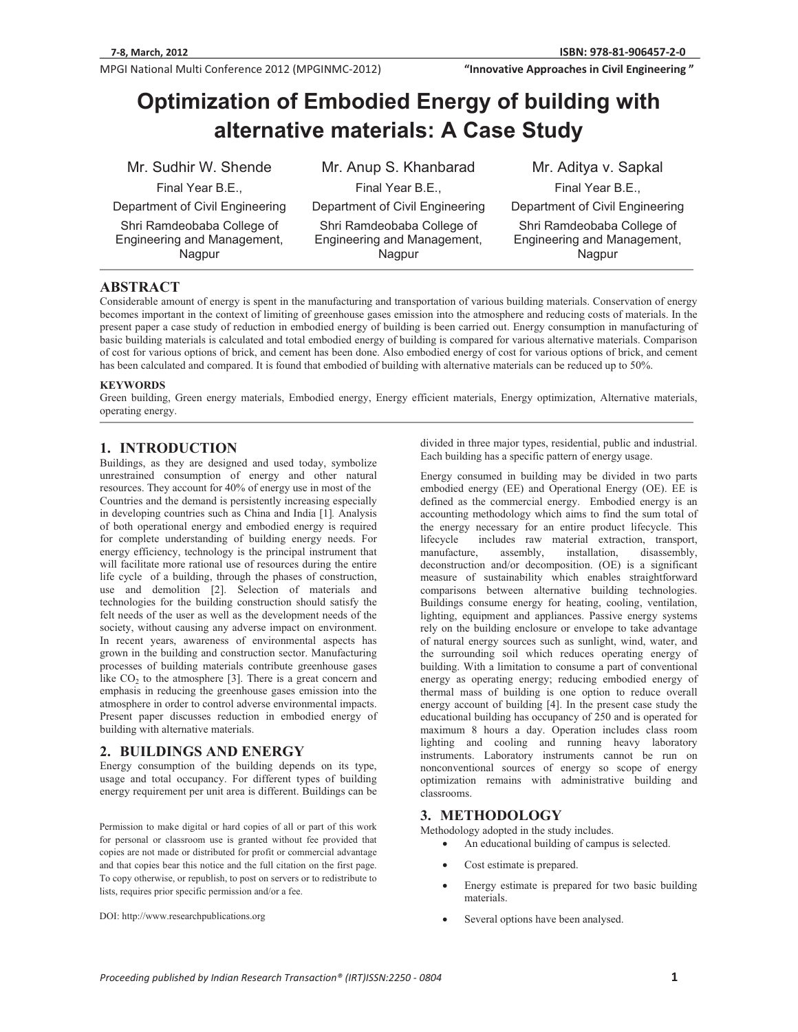**MPGI National Multi Conference 2012 (MPGINMC-2012) <b>The Conference of City Conference 2012** (MPGINMC-2012) **The Conference of City Conference 2012** (MPGINMC-2012)

**81-906457-2-0 "InnovativeApproachesinCivilEngineering"**

# **Optimization of Embodied Energy of building with alternative materials: A Case Study**

Mr. Sudhir W. Shende Final Year B.E.,

Department of Civil Engineering

Shri Ramdeobaba College of Engineering and Management, Nagpur

Mr. Anup S. Khanbarad Final Year B.E., Department of Civil Engineering Shri Ramdeobaba College of Engineering and Management, Nagpur

Mr. Aditya v. Sapkal Final Year B.E., Department of Civil Engineering Shri Ramdeobaba College of Engineering and Management, Nagpur

# **ABSTRACT**

Considerable amount of energy is spent in the manufacturing and transportation of various building materials. Conservation of energy becomes important in the context of limiting of greenhouse gases emission into the atmosphere and reducing costs of materials. In the present paper a case study of reduction in embodied energy of building is been carried out. Energy consumption in manufacturing of basic building materials is calculated and total embodied energy of building is compared for various alternative materials. Comparison of cost for various options of brick, and cement has been done. Also embodied energy of cost for various options of brick, and cement has been calculated and compared. It is found that embodied of building with alternative materials can be reduced up to 50%.

#### **KEYWORDS**

Green building, Green energy materials, Embodied energy, Energy efficient materials, Energy optimization, Alternative materials, operating energy.

# **1. INTRODUCTION**

Buildings, as they are designed and used today, symbolize unrestrained consumption of energy and other natural resources. They account for 40% of energy use in most of the Countries and the demand is persistently increasing especially in developing countries such as China and India [1]*.* Analysis of both operational energy and embodied energy is required for complete understanding of building energy needs. For energy efficiency, technology is the principal instrument that will facilitate more rational use of resources during the entire life cycle of a building, through the phases of construction, use and demolition [2]. Selection of materials and technologies for the building construction should satisfy the felt needs of the user as well as the development needs of the society, without causing any adverse impact on environment. In recent years, awareness of environmental aspects has grown in the building and construction sector. Manufacturing processes of building materials contribute greenhouse gases like  $CO<sub>2</sub>$  to the atmosphere [3]. There is a great concern and emphasis in reducing the greenhouse gases emission into the atmosphere in order to control adverse environmental impacts. Present paper discusses reduction in embodied energy of building with alternative materials.

# **2. BUILDINGS AND ENERGY**

Energy consumption of the building depends on its type, usage and total occupancy. For different types of building energy requirement per unit area is different. Buildings can be

Permission to make digital or hard copies of all or part of this work for personal or classroom use is granted without fee provided that copies are not made or distributed for profit or commercial advantage and that copies bear this notice and the full citation on the first page. To copy otherwise, or republish, to post on servers or to redistribute to lists, requires prior specific permission and/or a fee.

DOI: http://www.researchpublications.org

divided in three major types, residential, public and industrial. Each building has a specific pattern of energy usage.

Energy consumed in building may be divided in two parts embodied energy (EE) and Operational Energy (OE). EE is defined as the commercial energy. Embodied energy is an accounting methodology which aims to find the sum total of the energy necessary for an entire product lifecycle. This lifecycle includes raw material extraction, transport, manufacture, assembly, installation, disassembly, manufacture, deconstruction and/or decomposition. (OE) is a significant measure of sustainability which enables straightforward comparisons between alternative building technologies. Buildings consume energy for heating, cooling, ventilation, lighting, equipment and appliances. Passive energy systems rely on the building enclosure or envelope to take advantage of natural energy sources such as sunlight, wind, water, and the surrounding soil which reduces operating energy of building. With a limitation to consume a part of conventional energy as operating energy; reducing embodied energy of thermal mass of building is one option to reduce overall energy account of building [4]. In the present case study the educational building has occupancy of 250 and is operated for maximum 8 hours a day. Operation includes class room lighting and cooling and running heavy laboratory instruments. Laboratory instruments cannot be run on nonconventional sources of energy so scope of energy optimization remains with administrative building and classrooms.

#### **3. METHODOLOGY**

Methodology adopted in the study includes.

- -An educational building of campus is selected.
- -Cost estimate is prepared.
- - Energy estimate is prepared for two basic building materials.
- -Several options have been analysed.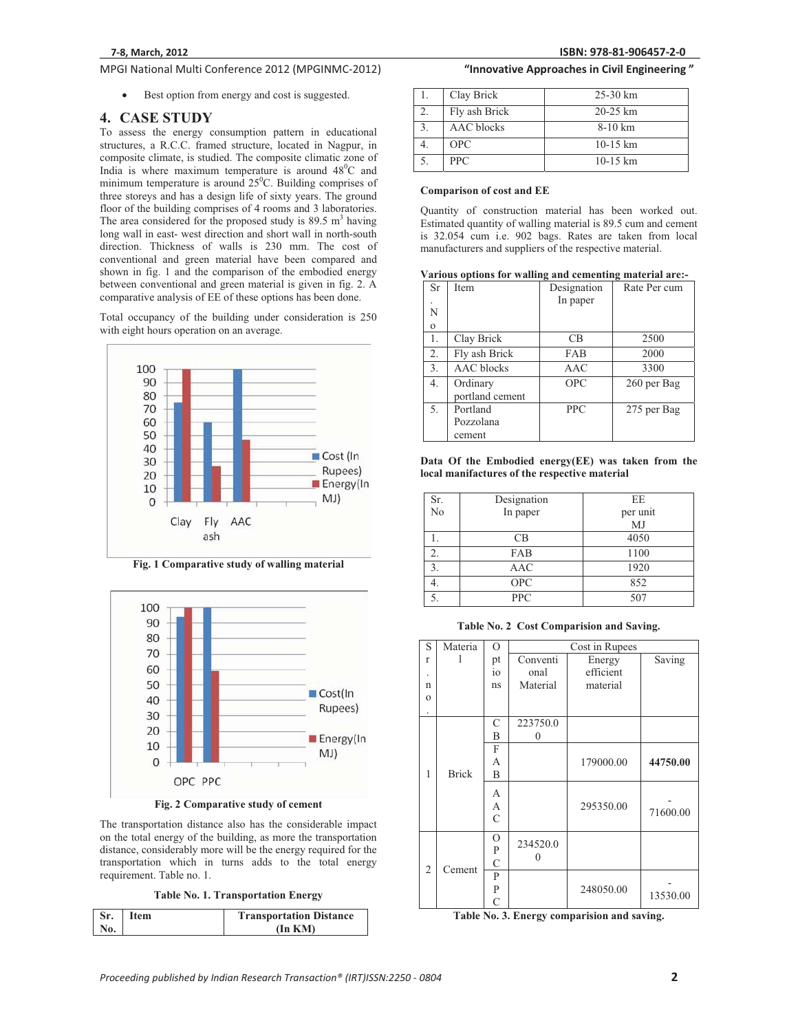# **MPGI National Multi Conference 2012 (MPGINMC-2012) <b>The Conference of City Conference 2012** (MPGINMC-2012) **The Conference of City Conference 2012** (MPGINMC-2012)

 $\bullet$ Best option from energy and cost is suggested.

#### **4. CASE STUDY**

To assess the energy consumption pattern in educational structures, a R.C.C. framed structure, located in Nagpur, in composite climate, is studied. The composite climatic zone of India is where maximum temperature is around  $48^{\circ}$ C and minimum temperature is around  $25^{\circ}$ C. Building comprises of three storeys and has a design life of sixty years. The ground floor of the building comprises of 4 rooms and 3 laboratories. The area considered for the proposed study is  $89.5 \text{ m}^3$  having long wall in east- west direction and short wall in north-south direction. Thickness of walls is 230 mm. The cost of conventional and green material have been compared and shown in fig. 1 and the comparison of the embodied energy between conventional and green material is given in fig. 2. A comparative analysis of EE of these options has been done.

Total occupancy of the building under consideration is 250 with eight hours operation on an average.



**Fig. 1 Comparative study of walling material** 



**Fig. 2 Comparative study of cement** 

The transportation distance also has the considerable impact on the total energy of the building, as more the transportation distance, considerably more will be the energy required for the transportation which in turns adds to the total energy requirement. Table no. 1.

**Table No. 1. Transportation Energy** 

| Sr.<br>Item |  | <b>Transportation Distance</b> |  |  |
|-------------|--|--------------------------------|--|--|
| N0.         |  | (In KMD)                       |  |  |

### **81-906457-2-0 "InnovativeApproachesinCivilEngineering"**

|    | Clay Brick        | $25-30$ km         |
|----|-------------------|--------------------|
| 2. | Fly ash Brick     | $20 - 25$ km       |
|    | <b>AAC</b> blocks | $8-10$ km          |
|    | <b>OPC</b>        | $10-15 \text{ km}$ |
|    | <b>PPC</b>        | $10-15 \text{ km}$ |

#### **Comparison of cost and EE**

Quantity of construction material has been worked out. Estimated quantity of walling material is 89.5 cum and cement is 32.054 cum i.e. 902 bags. Rates are taken from local manufacturers and suppliers of the respective material.

|  |  |  | Various options for walling and cementing material are:- |
|--|--|--|----------------------------------------------------------|
|--|--|--|----------------------------------------------------------|

| <b>Sr</b>        | Item              | Designation | Rate Per cum |
|------------------|-------------------|-------------|--------------|
| $\bullet$        |                   | In paper    |              |
| N                |                   |             |              |
| $\mathbf{o}$     |                   |             |              |
| 1.               | Clay Brick        | CВ          | 2500         |
| 2.               | Fly ash Brick     | FAB         | 2000         |
| 3.               | <b>AAC</b> blocks | AAC         | 3300         |
| $\overline{4}$ . | Ordinary          | <b>OPC</b>  | 260 per Bag  |
|                  | portland cement   |             |              |
| 5.               | Portland          | <b>PPC</b>  | 275 per Bag  |
|                  | Pozzolana         |             |              |
|                  | cement            |             |              |

**Data Of the Embodied energy(EE) was taken from the local manifactures of the respective material** 

| Sr.              | Designation | EE       |
|------------------|-------------|----------|
| $\overline{N_0}$ | In paper    | per unit |
|                  |             | MJ       |
|                  | CB          | 4050     |
| 2.               | FAB         | 1100     |
| 3.               | <b>AAC</b>  | 1920     |
|                  | <b>OPC</b>  | 852      |
|                  | <b>PPC</b>  | 507      |

**Table No. 2 Cost Comparision and Saving.** 

| S            | Materia      | $\circ$       | Cost in Rupees |           |          |
|--------------|--------------|---------------|----------------|-----------|----------|
| $\mathbf{r}$ | 1            | pt            | Conventi       | Energy    | Saving   |
|              |              | io            | onal           | efficient |          |
| n            |              | ns            | Material       | material  |          |
| $\Omega$     |              |               |                |           |          |
| ٠            |              |               |                |           |          |
|              |              | $\mathsf{C}$  | 223750.0       |           |          |
|              |              | B             | 0              |           |          |
|              |              | F             |                |           |          |
|              |              | А             |                | 179000.00 | 44750.00 |
| 1            | <b>Brick</b> | B             |                |           |          |
|              |              | А             |                |           |          |
|              |              | А             |                | 295350.00 |          |
|              |              | $\mathcal{C}$ |                |           | 71600.00 |
|              |              |               |                |           |          |
|              |              | О             | 234520.0       |           |          |
|              |              | P             | 0              |           |          |
| 2            | Cement       | C             |                |           |          |
|              |              | P             |                |           |          |
|              |              | P             |                | 248050.00 | 13530.00 |
|              |              | C             |                |           |          |

**Table No. 3. Energy comparision and saving.**